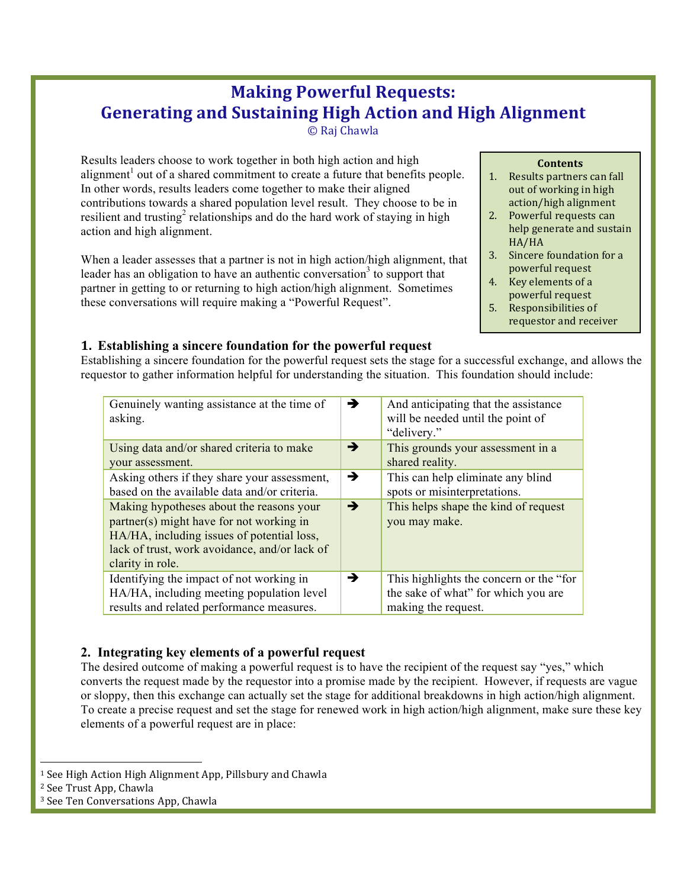# **Making Powerful Requests: Generating and Sustaining High Action and High Alignment**

© Raj Chawla

Results leaders choose to work together in both high action and high alignment<sup> $\theta$ </sup> out of a shared commitment to create a future that benefits people. In other words, results leaders come together to make their aligned contributions towards a shared population level result. They choose to be in resilient and trusting<sup>2</sup> relationships and do the hard work of staying in high action and high alignment.

When a leader assesses that a partner is not in high action/high alignment, that leader has an obligation to have an authentic conversation<sup>3</sup> to support that partner in getting to or returning to high action/high alignment. Sometimes these conversations will require making a "Powerful Request".

## **Contents**

- 1. Results partners can fall out of working in high action/high alignment
- 2. Powerful requests can help generate and sustain HA/HA
- 3. Sincere foundation for a powerful request
- 4. Key elements of a powerful request
- 5. Responsibilities of requestor and receiver

# **1. Establishing a sincere foundation for the powerful request**

Establishing a sincere foundation for the powerful request sets the stage for a successful exchange, and allows the requestor to gather information helpful for understanding the situation. This foundation should include:

| Genuinely wanting assistance at the time of<br>asking.                                                                                                                                                  | →             | And anticipating that the assistance<br>will be needed until the point of<br>"delivery."               |
|---------------------------------------------------------------------------------------------------------------------------------------------------------------------------------------------------------|---------------|--------------------------------------------------------------------------------------------------------|
| Using data and/or shared criteria to make<br>your assessment.                                                                                                                                           | →             | This grounds your assessment in a<br>shared reality.                                                   |
| Asking others if they share your assessment,<br>based on the available data and/or criteria.                                                                                                            | $\rightarrow$ | This can help eliminate any blind<br>spots or misinterpretations.                                      |
| Making hypotheses about the reasons your<br>partner(s) might have for not working in<br>HA/HA, including issues of potential loss,<br>lack of trust, work avoidance, and/or lack of<br>clarity in role. | $\rightarrow$ | This helps shape the kind of request<br>you may make.                                                  |
| Identifying the impact of not working in<br>HA/HA, including meeting population level<br>results and related performance measures.                                                                      | →             | This highlights the concern or the "for"<br>the sake of what" for which you are<br>making the request. |

# **2. Integrating key elements of a powerful request**

The desired outcome of making a powerful request is to have the recipient of the request say "yes," which converts the request made by the requestor into a promise made by the recipient. However, if requests are vague or sloppy, then this exchange can actually set the stage for additional breakdowns in high action/high alignment. To create a precise request and set the stage for renewed work in high action/high alignment, make sure these key elements of a powerful request are in place:

 <sup>1</sup> See High Action High Alignment App, Pillsbury and Chawla

<sup>&</sup>lt;sup>2</sup> See Trust App, Chawla

<sup>&</sup>lt;sup>3</sup> See Ten Conversations App, Chawla